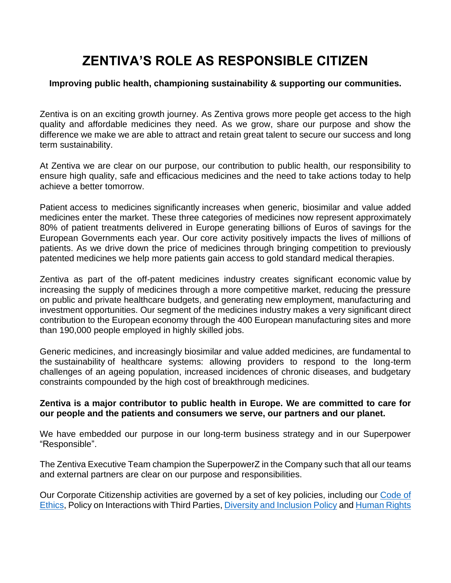# **ZENTIVA'S ROLE AS RESPONSIBLE CITIZEN**

## **Improving public health, championing sustainability & supporting our communities.**

Zentiva is on an exciting growth journey. As Zentiva grows more people get access to the high quality and affordable medicines they need. As we grow, share our purpose and show the difference we make we are able to attract and retain great talent to secure our success and long term sustainability.

At Zentiva we are clear on our purpose, our contribution to public health, our responsibility to ensure high quality, safe and efficacious medicines and the need to take actions today to help achieve a better tomorrow.

Patient access to medicines significantly increases when generic, biosimilar and value added medicines enter the market. These three categories of medicines now represent approximately 80% of patient treatments delivered in Europe generating billions of Euros of savings for the European Governments each year. Our core activity positively impacts the lives of millions of patients. As we drive down the price of medicines through bringing competition to previously patented medicines we help more patients gain access to gold standard medical therapies.

Zentiva as part of the off-patent medicines industry creates significant economic value by increasing the supply of medicines through a more competitive market, reducing the pressure on public and private healthcare budgets, and generating new employment, manufacturing and investment opportunities. Our segment of the medicines industry makes a very significant direct contribution to the European economy through the 400 European manufacturing sites and more than 190,000 people employed in highly skilled jobs.

Generic medicines, and increasingly biosimilar and value added medicines, are fundamental to the sustainability of healthcare systems: allowing providers to respond to the long-term challenges of an ageing population, increased incidences of chronic diseases, and budgetary constraints compounded by the high cost of breakthrough medicines.

## **Zentiva is a major contributor to public health in Europe. We are committed to care for our people and the patients and consumers we serve, our partners and our planet.**

We have embedded our purpose in our long-term business strategy and in our Superpower "Responsible".

The Zentiva Executive Team champion the SuperpowerZ in the Company such that all our teams and external partners are clear on our purpose and responsibilities.

Our Corporate Citizenship activities are governed by a set of key policies, including our [Code of](https://www.zentiva.com/-/media/files/zentivacom/who-we-are/code-of-common-senses-en.pdf)  [Ethics,](https://www.zentiva.com/-/media/files/zentivacom/who-we-are/code-of-common-senses-en.pdf) Policy on Interactions with Third Parties[, Diversity and Inclusion Policy](https://www.zentiva.com/-/media/diversity-and-inclusion-policy---final.pdf) an[d Human Rights](https://www.zentiva.com/-/media/files/zentivacom/who-we-are/zentiva-human-rights-and-anti-modern-slavery-policy---2021.pdf)